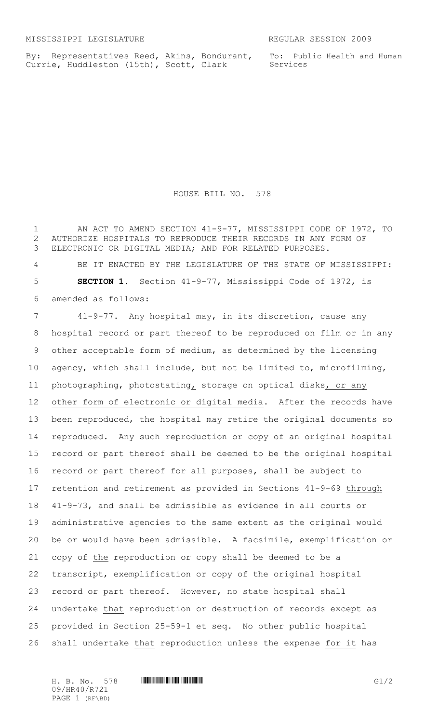By: Representatives Reed, Akins, Bondurant, Currie, Huddleston (15th), Scott, Clark

To: Public Health and Human Services

HOUSE BILL NO. 578

1 AN ACT TO AMEND SECTION 41-9-77, MISSISSIPPI CODE OF 1972, TO AUTHORIZE HOSPITALS TO REPRODUCE THEIR RECORDS IN ANY FORM OF ELECTRONIC OR DIGITAL MEDIA; AND FOR RELATED PURPOSES.

 BE IT ENACTED BY THE LEGISLATURE OF THE STATE OF MISSISSIPPI: **SECTION 1.** Section 41-9-77, Mississippi Code of 1972, is amended as follows:

 41-9-77. Any hospital may, in its discretion, cause any hospital record or part thereof to be reproduced on film or in any other acceptable form of medium, as determined by the licensing agency, which shall include, but not be limited to, microfilming, photographing, photostating, storage on optical disks, or any other form of electronic or digital media. After the records have been reproduced, the hospital may retire the original documents so reproduced. Any such reproduction or copy of an original hospital record or part thereof shall be deemed to be the original hospital record or part thereof for all purposes, shall be subject to retention and retirement as provided in Sections 41-9-69 through 41-9-73, and shall be admissible as evidence in all courts or administrative agencies to the same extent as the original would be or would have been admissible. A facsimile, exemplification or copy of the reproduction or copy shall be deemed to be a transcript, exemplification or copy of the original hospital record or part thereof. However, no state hospital shall undertake that reproduction or destruction of records except as provided in Section 25-59-1 et seq. No other public hospital shall undertake that reproduction unless the expense for it has

H. B. No. 578 **HR40/R721/R721** G1/2 09/HR40/R721 PAGE 1 (RF\BD)